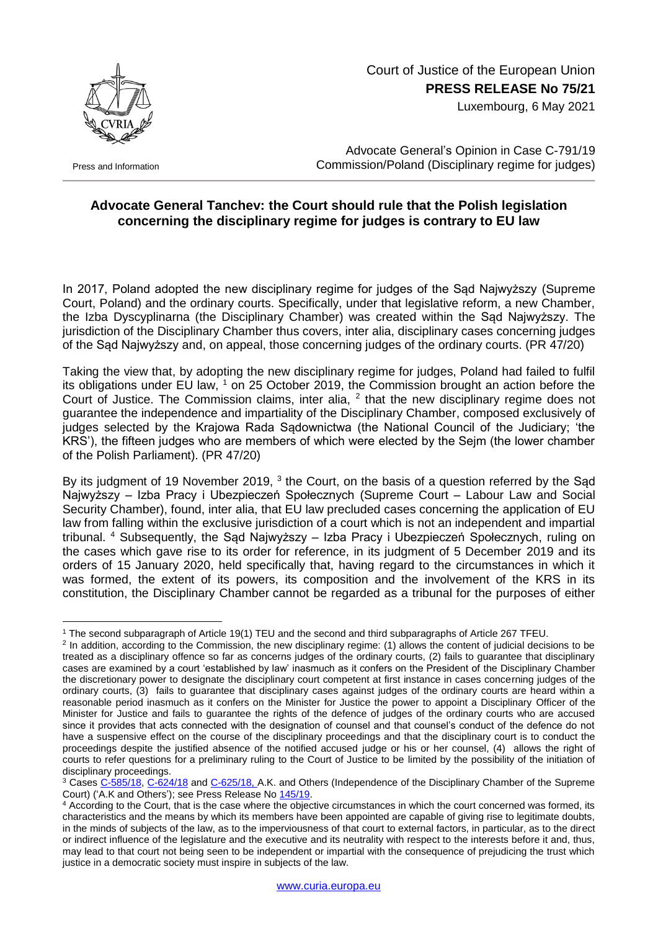

Press and Information

## Court of Justice of the European Union **PRESS RELEASE No 75/21**

Luxembourg, 6 May 2021

Advocate General's Opinion in Case C-791/19 Commission/Poland (Disciplinary regime for judges)

## **Advocate General Tanchev: the Court should rule that the Polish legislation concerning the disciplinary regime for judges is contrary to EU law**

In 2017, Poland adopted the new disciplinary regime for judges of the Sąd Najwyższy (Supreme Court, Poland) and the ordinary courts. Specifically, under that legislative reform, a new Chamber, the Izba Dyscyplinarna (the Disciplinary Chamber) was created within the Sąd Najwyższy. The jurisdiction of the Disciplinary Chamber thus covers, inter alia, disciplinary cases concerning judges of the Sąd Najwyższy and, on appeal, those concerning judges of the ordinary courts. (PR 47/20)

Taking the view that, by adopting the new disciplinary regime for judges, Poland had failed to fulfil its obligations under EU law,  $1$  on 25 October 2019, the Commission brought an action before the Court of Justice. The Commission claims, inter alia,  $<sup>2</sup>$  that the new disciplinary regime does not</sup> guarantee the independence and impartiality of the Disciplinary Chamber, composed exclusively of judges selected by the Krajowa Rada Sądownictwa (the National Council of the Judiciary; 'the KRS'), the fifteen judges who are members of which were elected by the Sejm (the lower chamber of the Polish Parliament). (PR 47/20)

By its judgment of 19 November 2019, <sup>3</sup> the Court, on the basis of a question referred by the Sąd Najwyższy – Izba Pracy i Ubezpieczeń Społecznych (Supreme Court – Labour Law and Social Security Chamber), found, inter alia, that EU law precluded cases concerning the application of EU law from falling within the exclusive jurisdiction of a court which is not an independent and impartial tribunal. <sup>4</sup> Subsequently, the Sąd Najwyższy – Izba Pracy i Ubezpieczeń Społecznych, ruling on the cases which gave rise to its order for reference, in its judgment of 5 December 2019 and its orders of 15 January 2020, held specifically that, having regard to the circumstances in which it was formed, the extent of its powers, its composition and the involvement of the KRS in its constitution, the Disciplinary Chamber cannot be regarded as a tribunal for the purposes of either

<sup>1</sup> <sup>1</sup> The second subparagraph of Article 19(1) TEU and the second and third subparagraphs of Article 267 TFEU.

<sup>&</sup>lt;sup>2</sup> In addition, according to the Commission, the new disciplinary regime: (1) allows the content of judicial decisions to be treated as a disciplinary offence so far as concerns judges of the ordinary courts, (2) fails to guarantee that disciplinary cases are examined by a court 'established by law' inasmuch as it confers on the President of the Disciplinary Chamber the discretionary power to designate the disciplinary court competent at first instance in cases concerning judges of the ordinary courts, (3) fails to guarantee that disciplinary cases against judges of the ordinary courts are heard within a reasonable period inasmuch as it confers on the Minister for Justice the power to appoint a Disciplinary Officer of the Minister for Justice and fails to guarantee the rights of the defence of judges of the ordinary courts who are accused since it provides that acts connected with the designation of counsel and that counsel's conduct of the defence do not have a suspensive effect on the course of the disciplinary proceedings and that the disciplinary court is to conduct the proceedings despite the justified absence of the notified accused judge or his or her counsel, (4) allows the right of courts to refer questions for a preliminary ruling to the Court of Justice to be limited by the possibility of the initiation of disciplinary proceedings.

<sup>&</sup>lt;sup>3</sup> Cases [C-585/18,](http://curia.europa.eu/juris/documents.jsf?num=C-585/18) [C-624/18](http://curia.europa.eu/juris/documents.jsf?num=C-624/18) and [C-625/18,](http://curia.europa.eu/juris/documents.jsf?num=C-625/18) A.K. and Others (Independence of the Disciplinary Chamber of the Supreme Court) ('A.K and Others'); see Press Release No [145/19.](https://curia.europa.eu/jcms/upload/docs/application/pdf/2019-11/cp190145en.pdf)

<sup>4</sup> According to the Court, that is the case where the objective circumstances in which the court concerned was formed, its characteristics and the means by which its members have been appointed are capable of giving rise to legitimate doubts, in the minds of subjects of the law, as to the imperviousness of that court to external factors, in particular, as to the direct or indirect influence of the legislature and the executive and its neutrality with respect to the interests before it and, thus, may lead to that court not being seen to be independent or impartial with the consequence of prejudicing the trust which justice in a democratic society must inspire in subjects of the law.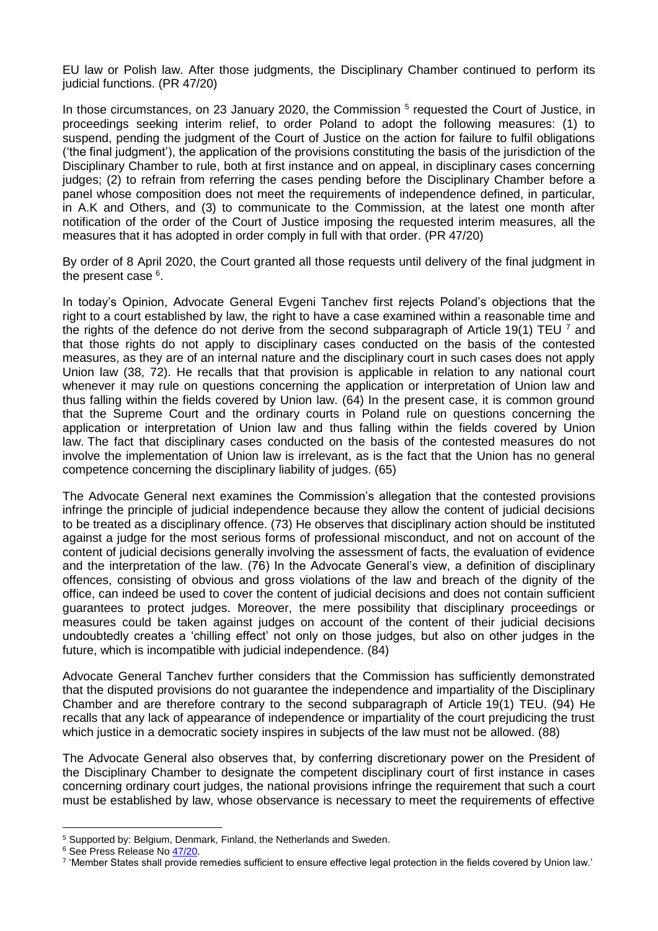EU law or Polish law. After those judgments, the Disciplinary Chamber continued to perform its judicial functions. (PR 47/20)

In those circumstances, on 23 January 2020, the Commission<sup>5</sup> requested the Court of Justice, in proceedings seeking interim relief, to order Poland to adopt the following measures: (1) to suspend, pending the judgment of the Court of Justice on the action for failure to fulfil obligations ('the final judgment'), the application of the provisions constituting the basis of the jurisdiction of the Disciplinary Chamber to rule, both at first instance and on appeal, in disciplinary cases concerning judges; (2) to refrain from referring the cases pending before the Disciplinary Chamber before a panel whose composition does not meet the requirements of independence defined, in particular, in A.K and Others, and (3) to communicate to the Commission, at the latest one month after notification of the order of the Court of Justice imposing the requested interim measures, all the measures that it has adopted in order comply in full with that order. (PR 47/20)

By order of 8 April 2020, the Court granted all those requests until delivery of the final judgment in the present case <sup>6</sup>.

In today's Opinion, Advocate General Evgeni Tanchev first rejects Poland's objections that the right to a court established by law, the right to have a case examined within a reasonable time and the rights of the defence do not derive from the second subparagraph of Article 19(1) TEU  $^7$  and that those rights do not apply to disciplinary cases conducted on the basis of the contested measures, as they are of an internal nature and the disciplinary court in such cases does not apply Union law (38, 72). He recalls that that provision is applicable in relation to any national court whenever it may rule on questions concerning the application or interpretation of Union law and thus falling within the fields covered by Union law. (64) In the present case, it is common ground that the Supreme Court and the ordinary courts in Poland rule on questions concerning the application or interpretation of Union law and thus falling within the fields covered by Union law. The fact that disciplinary cases conducted on the basis of the contested measures do not involve the implementation of Union law is irrelevant, as is the fact that the Union has no general competence concerning the disciplinary liability of judges. (65)

The Advocate General next examines the Commission's allegation that the contested provisions infringe the principle of judicial independence because they allow the content of judicial decisions to be treated as a disciplinary offence. (73) He observes that disciplinary action should be instituted against a judge for the most serious forms of professional misconduct, and not on account of the content of judicial decisions generally involving the assessment of facts, the evaluation of evidence and the interpretation of the law. (76) In the Advocate General's view, a definition of disciplinary offences, consisting of obvious and gross violations of the law and breach of the dignity of the office, can indeed be used to cover the content of judicial decisions and does not contain sufficient guarantees to protect judges. Moreover, the mere possibility that disciplinary proceedings or measures could be taken against judges on account of the content of their judicial decisions undoubtedly creates a 'chilling effect' not only on those judges, but also on other judges in the future, which is incompatible with judicial independence. (84)

Advocate General Tanchev further considers that the Commission has sufficiently demonstrated that the disputed provisions do not guarantee the independence and impartiality of the Disciplinary Chamber and are therefore contrary to the second subparagraph of Article 19(1) TEU. (94) He recalls that any lack of appearance of independence or impartiality of the court prejudicing the trust which justice in a democratic society inspires in subjects of the law must not be allowed. (88)

The Advocate General also observes that, by conferring discretionary power on the President of the Disciplinary Chamber to designate the competent disciplinary court of first instance in cases concerning ordinary court judges, the national provisions infringe the requirement that such a court must be established by law, whose observance is necessary to meet the requirements of effective

1

<sup>5</sup> Supported by: Belgium, Denmark, Finland, the Netherlands and Sweden.

<sup>&</sup>lt;sup>6</sup> See Press Release No [47/20.](https://curia.europa.eu/jcms/upload/docs/application/pdf/2018-12/cp200047en.pdf)

<sup>7</sup> 'Member States shall provide remedies sufficient to ensure effective legal protection in the fields covered by Union law.'